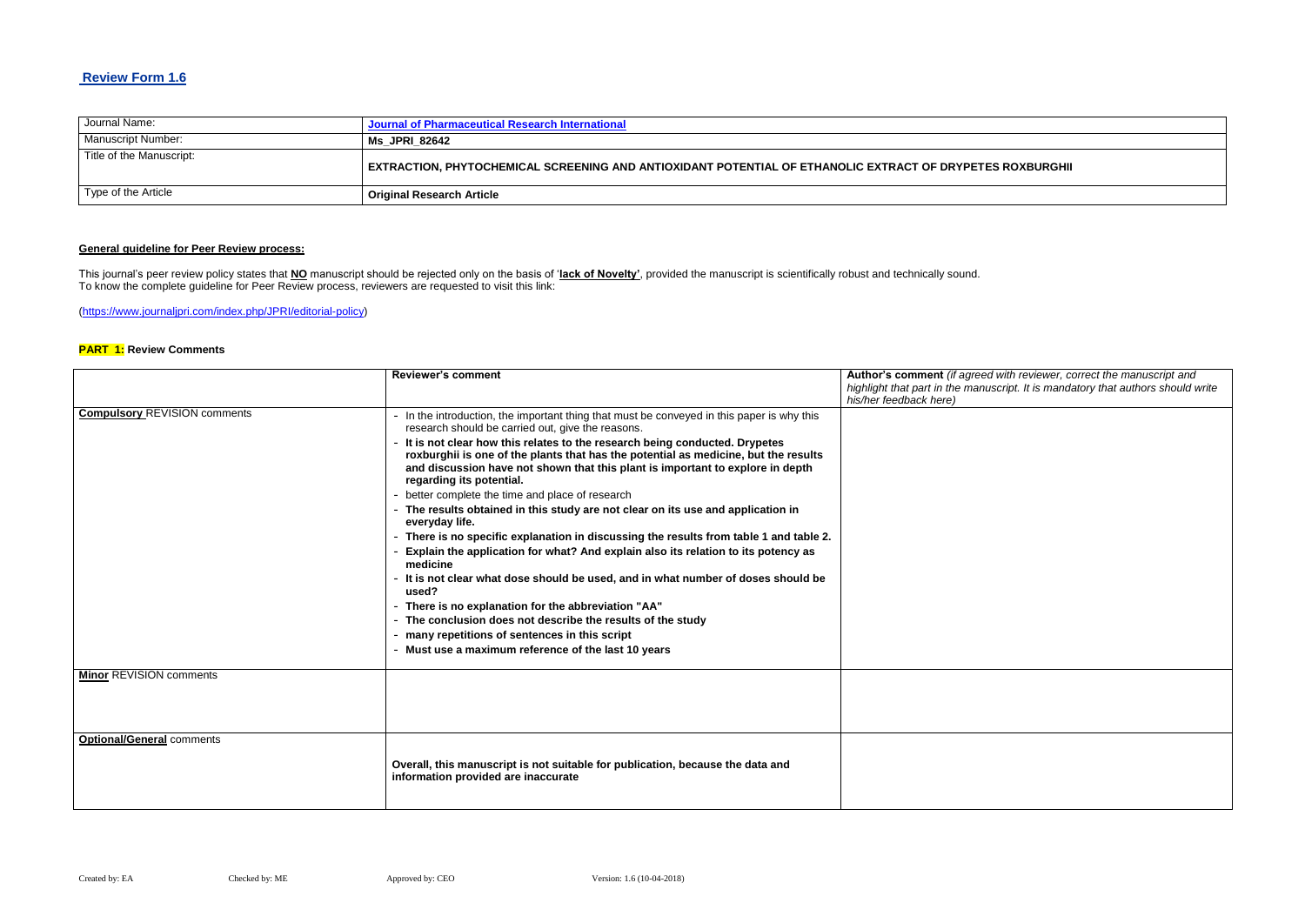### **Review Form 1.6**

| Journal Name:            | Journal of Pharmaceutical Research International                                             |
|--------------------------|----------------------------------------------------------------------------------------------|
| Manuscript Number:       | Ms JPRI 82642                                                                                |
| Title of the Manuscript: | EXTRACTION, PHYTOCHEMICAL SCREENING AND ANTIOXIDANT POTENTIAL OF ETHANOLIC EXTRACT OF DRYPET |
| Type of the Article      | <b>Original Research Article</b>                                                             |

## **General guideline for Peer Review process:**

 $B$ eed with reviewer, correct the manuscript and *highlight that part in the manuscript. It is mandatory that authors should write* 

This journal's peer review policy states that **NO** manuscript should be rejected only on the basis of '**lack of Novelty'**, provided the manuscript is scientifically robust and technically sound. To know the complete guideline for Peer Review process, reviewers are requested to visit this link:

[\(https://www.journaljpri.com/index.php/JPRI/editorial-policy\)](https://www.journaljpri.com/index.php/JPRI/editorial-policy)

#### **PART 1: Review Comments**

|                                     | <b>Reviewer's comment</b>                                                                                                                                                                                                       | Author's comment (if agre<br>highlight that part in the ma<br>his/her feedback here) |
|-------------------------------------|---------------------------------------------------------------------------------------------------------------------------------------------------------------------------------------------------------------------------------|--------------------------------------------------------------------------------------|
| <b>Compulsory REVISION comments</b> | - In the introduction, the important thing that must be conveyed in this paper is why this<br>research should be carried out, give the reasons.<br>- It is not clear how this relates to the research being conducted. Drypetes |                                                                                      |
|                                     | roxburghii is one of the plants that has the potential as medicine, but the results<br>and discussion have not shown that this plant is important to explore in depth<br>regarding its potential.                               |                                                                                      |
|                                     | better complete the time and place of research                                                                                                                                                                                  |                                                                                      |
|                                     | - The results obtained in this study are not clear on its use and application in<br>everyday life.                                                                                                                              |                                                                                      |
|                                     | - There is no specific explanation in discussing the results from table 1 and table 2.                                                                                                                                          |                                                                                      |
|                                     | Explain the application for what? And explain also its relation to its potency as<br>medicine                                                                                                                                   |                                                                                      |
|                                     | - It is not clear what dose should be used, and in what number of doses should be<br>used?                                                                                                                                      |                                                                                      |
|                                     | - There is no explanation for the abbreviation "AA"                                                                                                                                                                             |                                                                                      |
|                                     | The conclusion does not describe the results of the study                                                                                                                                                                       |                                                                                      |
|                                     | - many repetitions of sentences in this script                                                                                                                                                                                  |                                                                                      |
|                                     | Must use a maximum reference of the last 10 years                                                                                                                                                                               |                                                                                      |
| <b>Minor REVISION comments</b>      |                                                                                                                                                                                                                                 |                                                                                      |
|                                     |                                                                                                                                                                                                                                 |                                                                                      |
|                                     |                                                                                                                                                                                                                                 |                                                                                      |
| <b>Optional/General comments</b>    |                                                                                                                                                                                                                                 |                                                                                      |
|                                     | Overall, this manuscript is not suitable for publication, because the data and<br>information provided are inaccurate                                                                                                           |                                                                                      |
|                                     |                                                                                                                                                                                                                                 |                                                                                      |

### **ES ROXBURGHII**